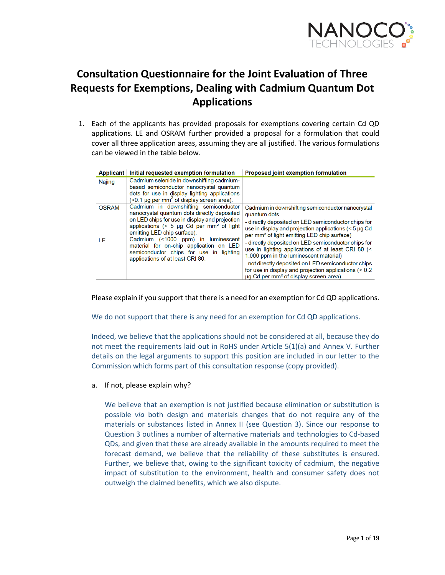

# **Consultation Questionnaire for the Joint Evaluation of Three Requests for Exemptions, Dealing with Cadmium Quantum Dot Applications**

1. Each of the applicants has provided proposals for exemptions covering certain Cd QD applications. LE and OSRAM further provided a proposal for a formulation that could cover all three application areas, assuming they are all justified. The various formulations can be viewed in the table below.

| <b>Applicant</b> | Initial requested exemption formulation                                                                                                                                                                                             | <b>Proposed joint exemption formulation</b>                                                                                                                                                                                                                                                                                |
|------------------|-------------------------------------------------------------------------------------------------------------------------------------------------------------------------------------------------------------------------------------|----------------------------------------------------------------------------------------------------------------------------------------------------------------------------------------------------------------------------------------------------------------------------------------------------------------------------|
| Najing           | Cadmium selenide in downshifting cadmium-<br>based semiconductor nanocrystal quantum<br>dots for use in display lighting applications<br>$\left($ <0.1 µg per mm <sup>2</sup> of display screen area).                              |                                                                                                                                                                                                                                                                                                                            |
| <b>OSRAM</b>     | Cadmium in downshifting semiconductor<br>nanocrystal quantum dots directly deposited<br>on LED chips for use in display and projection<br>applications $($ 5 $\mu$ g Cd per mm <sup>2</sup> of light<br>emitting LED chip surface). | Cadmium in downshifting semiconductor nanocrystal<br>quantum dots<br>- directly deposited on LED semiconductor chips for<br>use in display and projection applications $(< 5 \mu g$ Cd<br>per mm <sup>2</sup> of light emitting LED chip surface)                                                                          |
| ΙF               | Cadmium (<1000 ppm) in luminescent<br>material for on-chip application on LED<br>semiconductor chips for use in lighting<br>applications of at least CRI 80.                                                                        | - directly deposited on LED semiconductor chips for<br>use in lighting applications of at least CRI 80 (<<br>1.000 ppm in the luminescent material)<br>- not directly deposited on LED semiconductor chips<br>for use in display and projection applications $(< 0.2$<br>µg Cd per mm <sup>2</sup> of display screen area) |

Please explain if you support that there is a need for an exemption for Cd QD applications.

We do not support that there is any need for an exemption for Cd QD applications.

Indeed, we believe that the applications should not be considered at all, because they do not meet the requirements laid out in RoHS under Article 5(1)(a) and Annex V. Further details on the legal arguments to support this position are included in our letter to the Commission which forms part of this consultation response (copy provided).

a. If not, please explain why?

We believe that an exemption is not justified because elimination or substitution is possible *via* both design and materials changes that do not require any of the materials or substances listed in Annex II (see Question 3). Since our response to Question 3 outlines a number of alternative materials and technologies to Cd-based QDs, and given that these are already available in the amounts required to meet the forecast demand, we believe that the reliability of these substitutes is ensured. Further, we believe that, owing to the significant toxicity of cadmium, the negative impact of substitution to the environment, health and consumer safety does not outweigh the claimed benefits, which we also dispute.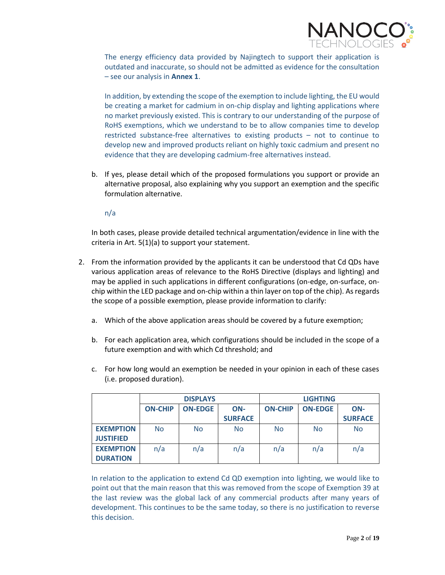

The energy efficiency data provided by Najingtech to support their application is outdated and inaccurate, so should not be admitted as evidence for the consultation – see our analysis in **Annex 1**.

In addition, by extending the scope of the exemption to include lighting, the EU would be creating a market for cadmium in on-chip display and lighting applications where no market previously existed. This is contrary to our understanding of the purpose of RoHS exemptions, which we understand to be to allow companies time to develop restricted substance-free alternatives to existing products – not to continue to develop new and improved products reliant on highly toxic cadmium and present no evidence that they are developing cadmium-free alternatives instead.

b. If yes, please detail which of the proposed formulations you support or provide an alternative proposal, also explaining why you support an exemption and the specific formulation alternative.

n/a

In both cases, please provide detailed technical argumentation/evidence in line with the criteria in Art. 5(1)(a) to support your statement.

- 2. From the information provided by the applicants it can be understood that Cd QDs have various application areas of relevance to the RoHS Directive (displays and lighting) and may be applied in such applications in different configurations (on-edge, on-surface, onchip within the LED package and on-chip within a thin layer on top of the chip). As regards the scope of a possible exemption, please provide information to clarify:
	- a. Which of the above application areas should be covered by a future exemption;
	- b. For each application area, which configurations should be included in the scope of a future exemption and with which Cd threshold; and
	- c. For how long would an exemption be needed in your opinion in each of these cases (i.e. proposed duration).

|                  | <b>DISPLAYS</b>                         |                |                | <b>LIGHTING</b> |     |                |
|------------------|-----------------------------------------|----------------|----------------|-----------------|-----|----------------|
|                  | <b>ON-CHIP</b><br><b>ON-EDGE</b><br>ON- |                | <b>ON-CHIP</b> | <b>ON-EDGE</b>  | ON- |                |
|                  |                                         |                | <b>SURFACE</b> |                 |     | <b>SURFACE</b> |
| <b>EXEMPTION</b> | <b>No</b>                               | N <sub>o</sub> | <b>No</b>      | <b>No</b>       | No  | No             |
| <b>JUSTIFIED</b> |                                         |                |                |                 |     |                |
| <b>EXEMPTION</b> | n/a                                     | n/a            | n/a            | n/a             | n/a | n/a            |
| <b>DURATION</b>  |                                         |                |                |                 |     |                |

In relation to the application to extend Cd QD exemption into lighting, we would like to point out that the main reason that this was removed from the scope of Exemption 39 at the last review was the global lack of any commercial products after many years of development. This continues to be the same today, so there is no justification to reverse this decision.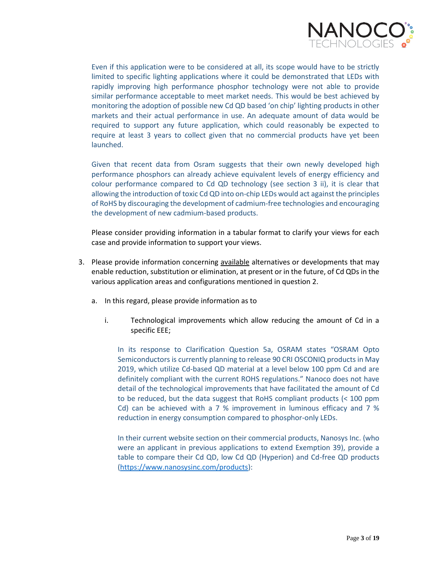

Even if this application were to be considered at all, its scope would have to be strictly limited to specific lighting applications where it could be demonstrated that LEDs with rapidly improving high performance phosphor technology were not able to provide similar performance acceptable to meet market needs. This would be best achieved by monitoring the adoption of possible new Cd QD based 'on chip' lighting products in other markets and their actual performance in use. An adequate amount of data would be required to support any future application, which could reasonably be expected to require at least 3 years to collect given that no commercial products have yet been launched.

Given that recent data from Osram suggests that their own newly developed high performance phosphors can already achieve equivalent levels of energy efficiency and colour performance compared to Cd QD technology (see section 3 ii), it is clear that allowing the introduction of toxic Cd QD into on-chip LEDs would act against the principles of RoHS by discouraging the development of cadmium-free technologies and encouraging the development of new cadmium-based products.

Please consider providing information in a tabular format to clarify your views for each case and provide information to support your views.

- 3. Please provide information concerning available alternatives or developments that may enable reduction, substitution or elimination, at present or in the future, of Cd QDs in the various application areas and configurations mentioned in question 2.
	- a. In this regard, please provide information as to
		- i. Technological improvements which allow reducing the amount of Cd in a specific EEE;

In its response to Clarification Question 5a, OSRAM states "OSRAM Opto Semiconductors is currently planning to release 90 CRI OSCONIQ products in May 2019, which utilize Cd-based QD material at a level below 100 ppm Cd and are definitely compliant with the current ROHS regulations." Nanoco does not have detail of the technological improvements that have facilitated the amount of Cd to be reduced, but the data suggest that RoHS compliant products (< 100 ppm Cd) can be achieved with a 7 % improvement in luminous efficacy and 7 % reduction in energy consumption compared to phosphor-only LEDs.

In their current website section on their commercial products, Nanosys Inc. (who were an applicant in previous applications to extend Exemption 39), provide a table to compare their Cd QD, low Cd QD (Hyperion) and Cd-free QD products [\(https://www.nanosysinc.com/products\)](https://www.nanosysinc.com/products):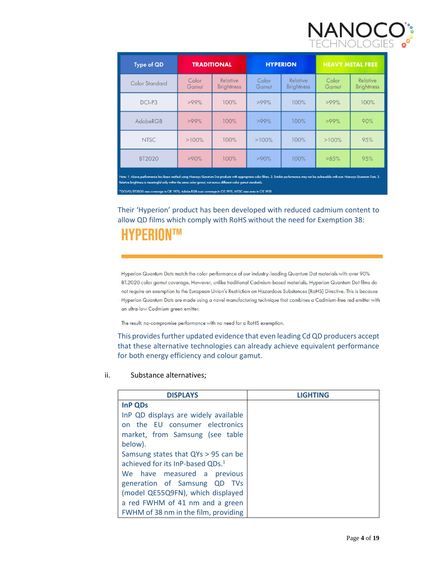

| <b>Type of QD</b>                                                                                                                                                                                                                                                                                                                                                                                                              | <b>TRADITIONAL</b> |                               | <b>HYPERION</b> |                               | <b>HEAVY METAL FREE</b> |                               |
|--------------------------------------------------------------------------------------------------------------------------------------------------------------------------------------------------------------------------------------------------------------------------------------------------------------------------------------------------------------------------------------------------------------------------------|--------------------|-------------------------------|-----------------|-------------------------------|-------------------------|-------------------------------|
| Color Standard                                                                                                                                                                                                                                                                                                                                                                                                                 | Color<br>Gamut     | Relative<br><b>Brightness</b> | Color<br>Gamut  | Relative<br><b>Brightness</b> | Color<br>Gamut          | Relative<br><b>Brightness</b> |
| DCI-P3                                                                                                                                                                                                                                                                                                                                                                                                                         | $>99\%$            | 100%                          | >99%            | 100%                          | >99%                    | 100%                          |
| AdobeRGB                                                                                                                                                                                                                                                                                                                                                                                                                       | $>99\%$            | 100%                          | >99%            | 100%                          | >99%                    | 90%                           |
| <b>NTSC</b>                                                                                                                                                                                                                                                                                                                                                                                                                    | >100%              | 100%                          | $>100\%$        | 100%                          | >100%                   | 95%                           |
| BT2020                                                                                                                                                                                                                                                                                                                                                                                                                         | >90%               | 100%                          | >90%            | 100%                          | >85%                    | 95%                           |
| Note: 1. Above performance has been verified using Nanosys Quantum Dot products with appropriate color filters. 2. Similar performance may not be achievable with non-Nanosys Quantum Dots. 3.<br>Relative brightness is meaningful only within the same color gamut, not across different color gamut standards.<br>*DCI-P3/BT2020 uses coverage in CIE 1976; Adobe RGB uses coverage in CIE 1931; NTSC uses area in CIE 1931 |                    |                               |                 |                               |                         |                               |

Their 'Hyperion' product has been developed with reduced cadmium content to allow QD films which comply with RoHS without the need for Exemption 38: **HYPERIONTM** 

Hyperion Quantum Dots match the color performance of our industry-leading Quantum Dot materials with over 90% BT.2020 color gamut coverage. However, unlike traditional Cadmium-based materials, Hyperion Quantum Dot films do not require an exemption to the European Union's Restriction on Hazardous Substances (RoHS) Directive. This is because Hyperion Quantum Dots are made using a novel manufacturing technique that combines a Cadmium-free red emitter with an ultra-low Cadmium green emitter.

The result: no-compromise performance with no need for a RoHS exemption.

This provides further updated evidence that even leading Cd QD producers accept that these alternative technologies can already achieve equivalent performance for both energy efficiency and colour gamut.

#### ii. Substance alternatives;

| <b>DISPLAYS</b>                              | <b>LIGHTING</b> |
|----------------------------------------------|-----------------|
| InP QDs                                      |                 |
| InP QD displays are widely available         |                 |
| on the EU consumer electronics               |                 |
| market, from Samsung (see table              |                 |
| below).                                      |                 |
| Samsung states that QYs > 95 can be          |                 |
| achieved for its InP-based QDs. <sup>1</sup> |                 |
| We have measured a previous                  |                 |
| generation of Samsung QD TVs                 |                 |
| (model QE55Q9FN), which displayed            |                 |
| a red FWHM of 41 nm and a green              |                 |
| FWHM of 38 nm in the film, providing         |                 |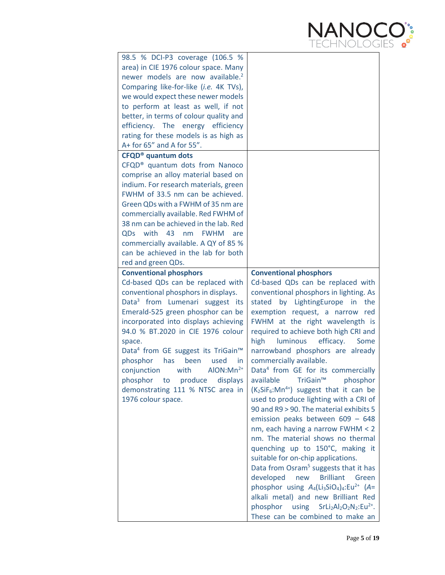

| 98.5 % DCI-P3 coverage (106.5 %                            |                                                                            |
|------------------------------------------------------------|----------------------------------------------------------------------------|
| area) in CIE 1976 colour space. Many                       |                                                                            |
| newer models are now available. <sup>2</sup>               |                                                                            |
| Comparing like-for-like (i.e. 4K TVs),                     |                                                                            |
| we would expect these newer models                         |                                                                            |
| to perform at least as well, if not                        |                                                                            |
| better, in terms of colour quality and                     |                                                                            |
| efficiency. The energy efficiency                          |                                                                            |
| rating for these models is as high as                      |                                                                            |
| A+ for 65" and A for 55".                                  |                                                                            |
| <b>CFQD<sup>®</sup></b> quantum dots                       |                                                                            |
| CFQD <sup>®</sup> quantum dots from Nanoco                 |                                                                            |
| comprise an alloy material based on                        |                                                                            |
| indium. For research materials, green                      |                                                                            |
| FWHM of 33.5 nm can be achieved.                           |                                                                            |
| Green QDs with a FWHM of 35 nm are                         |                                                                            |
| commercially available. Red FWHM of                        |                                                                            |
| 38 nm can be achieved in the lab. Red                      |                                                                            |
| QDs with 43<br>nm<br><b>FWHM</b><br>are                    |                                                                            |
| commercially available. A QY of 85 %                       |                                                                            |
| can be achieved in the lab for both                        |                                                                            |
| red and green QDs.                                         |                                                                            |
| <b>Conventional phosphors</b>                              | <b>Conventional phosphors</b>                                              |
| Cd-based QDs can be replaced with                          | Cd-based QDs can be replaced with                                          |
|                                                            |                                                                            |
|                                                            |                                                                            |
| conventional phosphors in displays.                        | conventional phosphors in lighting. As                                     |
| Data <sup>3</sup> from Lumenari suggest its                | by LightingEurope<br>stated<br>in<br>the                                   |
| Emerald-525 green phosphor can be                          | exemption request, a narrow red                                            |
| incorporated into displays achieving                       | FWHM at the right wavelength is                                            |
| 94.0 % BT.2020 in CIE 1976 colour                          | required to achieve both high CRI and                                      |
| space.                                                     | high<br>efficacy.<br>luminous<br>Some                                      |
| Data <sup>4</sup> from GE suggest its TriGain <sup>™</sup> | narrowband phosphors are already                                           |
| been<br>used<br>phosphor<br>has<br>in.                     | commercially available.                                                    |
| $AlON: Mn2+$<br>conjunction with                           | Data <sup>4</sup> from GE for its commercially                             |
| phosphor to produce<br>displays                            | available TriGain <sup>™</sup> phosphor                                    |
| demonstrating 111 % NTSC area in                           | $(K_2SiF_6: Mn^{4+})$ suggest that it can be                               |
| 1976 colour space.                                         | used to produce lighting with a CRI of                                     |
|                                                            | 90 and R9 > 90. The material exhibits 5                                    |
|                                                            | emission peaks between $609 - 648$                                         |
|                                                            | nm, each having a narrow FWHM < 2                                          |
|                                                            | nm. The material shows no thermal                                          |
|                                                            | quenching up to 150°C, making it                                           |
|                                                            | suitable for on-chip applications.                                         |
|                                                            | Data from Osram <sup>5</sup> suggests that it has                          |
|                                                            | developed<br><b>Brilliant</b><br>new<br>Green                              |
|                                                            | phosphor using $A_4(Li_3SiO_4)_4:Eu^{2+}$ (A=                              |
|                                                            | alkali metal) and new Brilliant Red                                        |
|                                                            | phosphor<br>using $Srli2Al2O2N2:Eu2+.$<br>These can be combined to make an |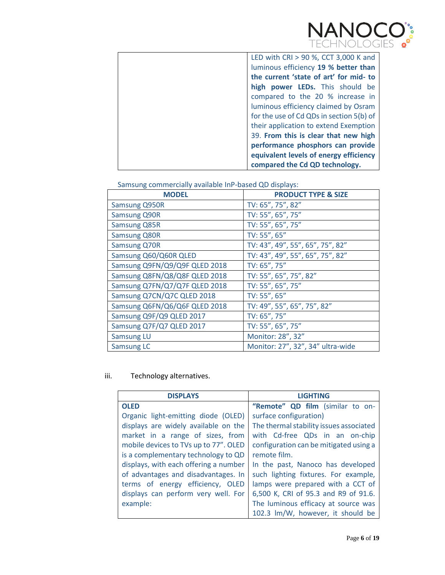

| LED with CRI > 90 %, CCT 3,000 K and     |
|------------------------------------------|
| luminous efficiency 19 % better than     |
| the current 'state of art' for mid- to   |
| high power LEDs. This should be          |
| compared to the 20 % increase in         |
| luminous efficiency claimed by Osram     |
| for the use of Cd QDs in section 5(b) of |
| their application to extend Exemption    |
| 39. From this is clear that new high     |
| performance phosphors can provide        |
| equivalent levels of energy efficiency   |
| compared the Cd QD technology.           |

Samsung commercially available InP-based QD displays:

| <b>MODEL</b>                  | <b>PRODUCT TYPE &amp; SIZE</b>    |
|-------------------------------|-----------------------------------|
| <b>Samsung Q950R</b>          | TV: 65", 75", 82"                 |
| <b>Samsung Q90R</b>           | TV: 55", 65", 75"                 |
| Samsung Q85R                  | TV: 55", 65", 75"                 |
| <b>Samsung Q80R</b>           | TV: 55", 65"                      |
| <b>Samsung Q70R</b>           | TV: 43", 49", 55", 65", 75", 82"  |
| Samsung Q60/Q60R QLED         | TV: 43", 49", 55", 65", 75", 82"  |
| Samsung Q9FN/Q9/Q9F QLED 2018 | TV: 65", 75"                      |
| Samsung Q8FN/Q8/Q8F QLED 2018 | TV: 55", 65", 75", 82"            |
| Samsung Q7FN/Q7/Q7F QLED 2018 | TV: 55", 65", 75"                 |
| Samsung Q7CN/Q7C QLED 2018    | TV: 55", 65"                      |
| Samsung Q6FN/Q6/Q6F QLED 2018 | TV: 49", 55", 65", 75", 82"       |
| Samsung Q9F/Q9 QLED 2017      | TV: 65", 75"                      |
| Samsung Q7F/Q7 QLED 2017      | TV: 55", 65", 75"                 |
| <b>Samsung LU</b>             | Monitor: 28", 32"                 |
| Samsung LC                    | Monitor: 27", 32", 34" ultra-wide |

iii. Technology alternatives.

| <b>DISPLAYS</b>                       | <b>LIGHTING</b>                         |
|---------------------------------------|-----------------------------------------|
| <b>OLED</b>                           | "Remote" QD film (similar to on-        |
| Organic light-emitting diode (OLED)   | surface configuration)                  |
| displays are widely available on the  | The thermal stability issues associated |
| market in a range of sizes, from      | with Cd-free QDs in an on-chip          |
| mobile devices to TVs up to 77". OLED | configuration can be mitigated using a  |
| is a complementary technology to QD   | remote film.                            |
| displays, with each offering a number | In the past, Nanoco has developed       |
| of advantages and disadvantages. In   | such lighting fixtures. For example,    |
| terms of energy efficiency, OLED      | lamps were prepared with a CCT of       |
| displays can perform very well. For   | 6,500 K, CRI of 95.3 and R9 of 91.6.    |
| example:                              | The luminous efficacy at source was     |
|                                       | 102.3 lm/W, however, it should be       |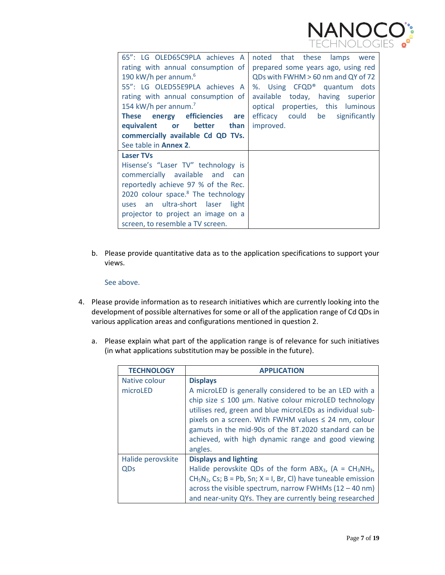

| 65": LG OLED65C9PLA achieves A<br>rating with annual consumption of<br>190 kW/h per annum. <sup>6</sup><br>55": LG OLED55E9PLA achieves A<br>rating with annual consumption of<br>154 kW/h per annum. <sup>7</sup>                                                                       | noted that these lamps were<br>prepared some years ago, using red<br>QDs with FWHM > 60 nm and QY of 72<br>%. Using CFQD <sup>®</sup> quantum dots<br>available today, having superior<br>optical properties, this luminous |
|------------------------------------------------------------------------------------------------------------------------------------------------------------------------------------------------------------------------------------------------------------------------------------------|-----------------------------------------------------------------------------------------------------------------------------------------------------------------------------------------------------------------------------|
| These energy efficiencies are<br>equivalent or better than<br>commercially available Cd QD TVs.<br>See table in <b>Annex 2.</b>                                                                                                                                                          | efficacy could be significantly<br>improved.                                                                                                                                                                                |
| <b>Laser TVs</b><br>Hisense's "Laser TV" technology is<br>commercially available and can<br>reportedly achieve 97 % of the Rec.<br>2020 colour space. $8$ The technology<br>uses an ultra-short laser<br>light<br>projector to project an image on a<br>screen, to resemble a TV screen. |                                                                                                                                                                                                                             |

b. Please provide quantitative data as to the application specifications to support your views.

#### See above.

- 4. Please provide information as to research initiatives which are currently looking into the development of possible alternatives for some or all of the application range of Cd QDs in various application areas and configurations mentioned in question 2.
	- a. Please explain what part of the application range is of relevance for such initiatives (in what applications substitution may be possible in the future).

| <b>TECHNOLOGY</b> | <b>APPLICATION</b>                                                                                                                                                                                                                                                                                                                                                      |
|-------------------|-------------------------------------------------------------------------------------------------------------------------------------------------------------------------------------------------------------------------------------------------------------------------------------------------------------------------------------------------------------------------|
| Native colour     | <b>Displays</b>                                                                                                                                                                                                                                                                                                                                                         |
| microLED          | A microLED is generally considered to be an LED with a<br>chip size $\leq 100$ µm. Native colour microLED technology<br>utilises red, green and blue microLEDs as individual sub-<br>pixels on a screen. With FWHM values $\leq$ 24 nm, colour<br>gamuts in the mid-90s of the BT.2020 standard can be<br>achieved, with high dynamic range and good viewing<br>angles. |
| Halide perovskite | <b>Displays and lighting</b>                                                                                                                                                                                                                                                                                                                                            |
| QDs               | Halide perovskite QDs of the form $ABX_3$ , (A = $CH_3NH_3$ ,                                                                                                                                                                                                                                                                                                           |
|                   | $CH5N2$ , Cs; B = Pb, Sn; X = I, Br, Cl) have tuneable emission                                                                                                                                                                                                                                                                                                         |
|                   | across the visible spectrum, narrow FWHMs $(12 - 40 \text{ nm})$                                                                                                                                                                                                                                                                                                        |
|                   | and near-unity QYs. They are currently being researched                                                                                                                                                                                                                                                                                                                 |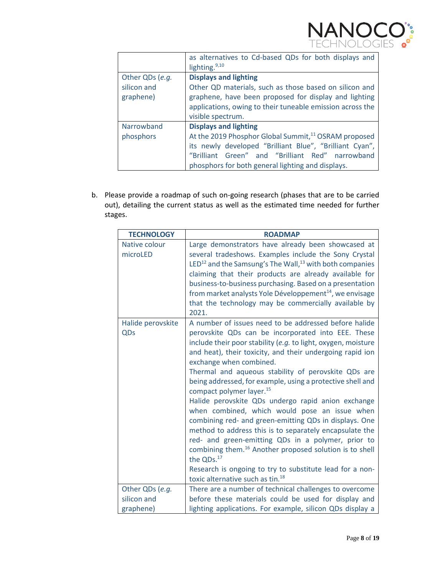

|                                             | as alternatives to Cd-based QDs for both displays and<br>lighting. $9,10$                                                                                                                                                                                            |
|---------------------------------------------|----------------------------------------------------------------------------------------------------------------------------------------------------------------------------------------------------------------------------------------------------------------------|
| Other QDs (e.g.<br>silicon and<br>graphene) | <b>Displays and lighting</b><br>Other QD materials, such as those based on silicon and<br>graphene, have been proposed for display and lighting<br>applications, owing to their tuneable emission across the<br>visible spectrum.                                    |
| Narrowband<br>phosphors                     | <b>Displays and lighting</b><br>At the 2019 Phosphor Global Summit, <sup>11</sup> OSRAM proposed<br>its newly developed "Brilliant Blue", "Brilliant Cyan",<br>"Brilliant Green" and "Brilliant Red" narrowband<br>phosphors for both general lighting and displays. |

b. Please provide a roadmap of such on-going research (phases that are to be carried out), detailing the current status as well as the estimated time needed for further stages.

| <b>TECHNOLOGY</b> | <b>ROADMAP</b>                                                                                                             |
|-------------------|----------------------------------------------------------------------------------------------------------------------------|
| Native colour     | Large demonstrators have already been showcased at                                                                         |
| microLED          | several tradeshows. Examples include the Sony Crystal                                                                      |
|                   | LED <sup>12</sup> and the Samsung's The Wall, <sup>13</sup> with both companies                                            |
|                   | claiming that their products are already available for                                                                     |
|                   | business-to-business purchasing. Based on a presentation                                                                   |
|                   | from market analysts Yole Développement <sup>14</sup> , we envisage                                                        |
|                   | that the technology may be commercially available by                                                                       |
|                   | 2021.                                                                                                                      |
| Halide perovskite | A number of issues need to be addressed before halide                                                                      |
| QDs               | perovskite QDs can be incorporated into EEE. These                                                                         |
|                   | include their poor stability (e.g. to light, oxygen, moisture<br>and heat), their toxicity, and their undergoing rapid ion |
|                   | exchange when combined.                                                                                                    |
|                   | Thermal and aqueous stability of perovskite QDs are                                                                        |
|                   | being addressed, for example, using a protective shell and                                                                 |
|                   | compact polymer layer. <sup>15</sup>                                                                                       |
|                   | Halide perovskite QDs undergo rapid anion exchange                                                                         |
|                   | when combined, which would pose an issue when                                                                              |
|                   | combining red- and green-emitting QDs in displays. One                                                                     |
|                   | method to address this is to separately encapsulate the                                                                    |
|                   | red- and green-emitting QDs in a polymer, prior to                                                                         |
|                   | combining them. <sup>16</sup> Another proposed solution is to shell                                                        |
|                   | the QDs. <sup>17</sup>                                                                                                     |
|                   | Research is ongoing to try to substitute lead for a non-                                                                   |
|                   | toxic alternative such as tin. <sup>18</sup>                                                                               |
| Other QDs (e.g.   | There are a number of technical challenges to overcome                                                                     |
| silicon and       | before these materials could be used for display and                                                                       |
| graphene)         | lighting applications. For example, silicon QDs display a                                                                  |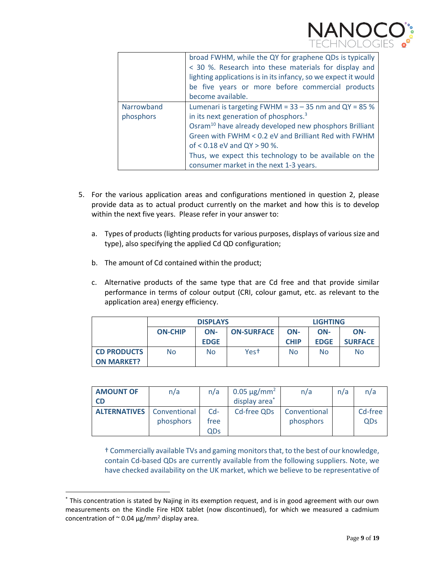

|                         | broad FWHM, while the QY for graphene QDs is typically<br>< 30 %. Research into these materials for display and<br>lighting applications is in its infancy, so we expect it would<br>be five years or more before commercial products<br>become available.                                                                                                                    |
|-------------------------|-------------------------------------------------------------------------------------------------------------------------------------------------------------------------------------------------------------------------------------------------------------------------------------------------------------------------------------------------------------------------------|
| Narrowband<br>phosphors | Lumenari is targeting FWHM = $33 - 35$ nm and QY = 85 %<br>in its next generation of phosphors. <sup>3</sup><br>Osram <sup>10</sup> have already developed new phosphors Brilliant<br>Green with FWHM < 0.2 eV and Brilliant Red with FWHM<br>of < 0.18 eV and QY > 90 %.<br>Thus, we expect this technology to be available on the<br>consumer market in the next 1-3 years. |

- 5. For the various application areas and configurations mentioned in question 2, please provide data as to actual product currently on the market and how this is to develop within the next five years. Please refer in your answer to:
	- a. Types of products (lighting products for various purposes, displays of various size and type), also specifying the applied Cd QD configuration;
	- b. The amount of Cd contained within the product;

 $\overline{a}$ 

c. Alternative products of the same type that are Cd free and that provide similar performance in terms of colour output (CRI, colour gamut, etc. as relevant to the application area) energy efficiency.

|                    | <b>DISPLAYS</b>                            |             |                  | <b>LIGHTING</b> |             |                |
|--------------------|--------------------------------------------|-------------|------------------|-----------------|-------------|----------------|
|                    | <b>ON-CHIP</b><br>ON-<br><b>ON-SURFACE</b> |             |                  | ON-             | ON-         | ON-            |
|                    |                                            | <b>EDGE</b> |                  | <b>CHIP</b>     | <b>EDGE</b> | <b>SURFACE</b> |
| <b>CD PRODUCTS</b> | <b>No</b>                                  | <b>No</b>   | Yes <sup>+</sup> | <b>No</b>       | No          | <b>No</b>      |
| <b>ON MARKET?</b>  |                                            |             |                  |                 |             |                |

| <b>AMOUNT OF</b>                 | n/a       | n/a   | $0.05 \,\mathrm{\mu g/mm^2}$ | n/a          | n/a | n/a     |
|----------------------------------|-----------|-------|------------------------------|--------------|-----|---------|
| CD                               |           |       | display area                 |              |     |         |
| <b>ALTERNATIVES</b> Conventional |           | $Cd-$ | Cd-free QDs                  | Conventional |     | Cd-free |
|                                  | phosphors | tree  |                              | phosphors    |     | QDs     |
|                                  |           | QDs   |                              |              |     |         |

† Commercially available TVs and gaming monitors that, to the best of our knowledge, contain Cd-based QDs are currently available from the following suppliers. Note, we have checked availability on the UK market, which we believe to be representative of

<sup>\*</sup> This concentration is stated by Najing in its exemption request, and is in good agreement with our own measurements on the Kindle Fire HDX tablet (now discontinued), for which we measured a cadmium concentration of  $\sim$  0.04 μg/mm<sup>2</sup> display area.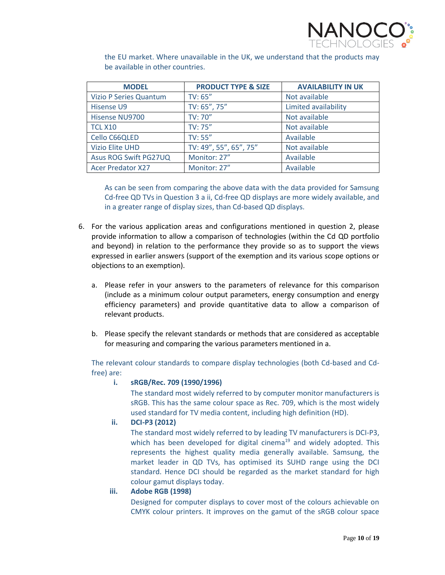

the EU market. Where unavailable in the UK, we understand that the products may be available in other countries.

| <b>MODEL</b>                  | <b>PRODUCT TYPE &amp; SIZE</b> | <b>AVAILABILITY IN UK</b> |
|-------------------------------|--------------------------------|---------------------------|
| <b>Vizio P Series Quantum</b> | TV: 65''                       | Not available             |
| Hisense U9                    | TV: 65", 75"                   | Limited availability      |
| Hisense NU9700                | TV: 70"                        | Not available             |
| <b>TCL X10</b>                | TV: 75"                        | Not available             |
| Cello C66QLED                 | TV: 55"                        | Available                 |
| <b>Vizio Elite UHD</b>        | TV: 49", 55", 65", 75"         | Not available             |
| Asus ROG Swift PG27UQ         | Monitor: 27"                   | Available                 |
| <b>Acer Predator X27</b>      | Monitor: 27"                   | Available                 |

As can be seen from comparing the above data with the data provided for Samsung Cd-free QD TVs in Question 3 a ii, Cd-free QD displays are more widely available, and in a greater range of display sizes, than Cd-based QD displays.

- 6. For the various application areas and configurations mentioned in question 2, please provide information to allow a comparison of technologies (within the Cd QD portfolio and beyond) in relation to the performance they provide so as to support the views expressed in earlier answers (support of the exemption and its various scope options or objections to an exemption).
	- a. Please refer in your answers to the parameters of relevance for this comparison (include as a minimum colour output parameters, energy consumption and energy efficiency parameters) and provide quantitative data to allow a comparison of relevant products.
	- b. Please specify the relevant standards or methods that are considered as acceptable for measuring and comparing the various parameters mentioned in a.

The relevant colour standards to compare display technologies (both Cd-based and Cdfree) are:

#### **i. sRGB/Rec. 709 (1990/1996)**

The standard most widely referred to by computer monitor manufacturers is sRGB. This has the same colour space as Rec. 709, which is the most widely used standard for TV media content, including high definition (HD).

## **ii. DCI-P3 (2012)**

The standard most widely referred to by leading TV manufacturers is DCI-P3, which has been developed for digital cinema<sup>19</sup> and widely adopted. This represents the highest quality media generally available. Samsung, the market leader in QD TVs, has optimised its SUHD range using the DCI standard. Hence DCI should be regarded as the market standard for high colour gamut displays today.

#### **iii. Adobe RGB (1998)**

Designed for computer displays to cover most of the colours achievable on CMYK colour printers. It improves on the gamut of the sRGB colour space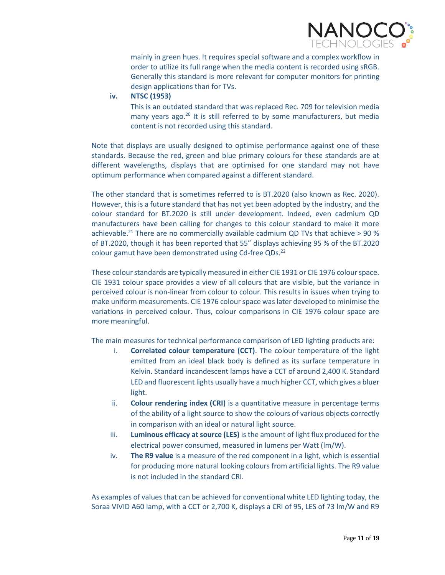

mainly in green hues. It requires special software and a complex workflow in order to utilize its full range when the media content is recorded using sRGB. Generally this standard is more relevant for computer monitors for printing design applications than for TVs.

#### **iv. NTSC (1953)**

This is an outdated standard that was replaced Rec. 709 for television media many years ago.<sup>20</sup> It is still referred to by some manufacturers, but media content is not recorded using this standard.

Note that displays are usually designed to optimise performance against one of these standards. Because the red, green and blue primary colours for these standards are at different wavelengths, displays that are optimised for one standard may not have optimum performance when compared against a different standard.

The other standard that is sometimes referred to is BT.2020 (also known as Rec. 2020). However, this is a future standard that has not yet been adopted by the industry, and the colour standard for BT.2020 is still under development. Indeed, even cadmium QD manufacturers have been calling for changes to this colour standard to make it more achievable.<sup>21</sup> There are no commercially available cadmium QD TVs that achieve > 90 % of BT.2020, though it has been reported that 55" displays achieving 95 % of the BT.2020 colour gamut have been demonstrated using Cd-free QDs.<sup>22</sup>

These colour standards are typically measured in either CIE 1931 or CIE 1976 colour space. CIE 1931 colour space provides a view of all colours that are visible, but the variance in perceived colour is non-linear from colour to colour. This results in issues when trying to make uniform measurements. CIE 1976 colour space was later developed to minimise the variations in perceived colour. Thus, colour comparisons in CIE 1976 colour space are more meaningful.

The main measures for technical performance comparison of LED lighting products are:

- i. **Correlated colour temperature (CCT)**. The colour temperature of the light emitted from an ideal black body is defined as its surface temperature in Kelvin. Standard incandescent lamps have a CCT of around 2,400 K. Standard LED and fluorescent lights usually have a much higher CCT, which gives a bluer light.
- ii. **Colour rendering index (CRI)** is a quantitative measure in percentage terms of the ability of a light source to show the colours of various objects correctly in comparison with an ideal or natural light source.
- iii. **Luminous efficacy at source (LES)** is the amount of light flux produced for the electrical power consumed, measured in lumens per Watt (lm/W).
- iv. **The R9 value** is a measure of the red component in a light, which is essential for producing more natural looking colours from artificial lights. The R9 value is not included in the standard CRI.

As examples of values that can be achieved for conventional white LED lighting today, the Soraa VIVID A60 lamp, with a CCT or 2,700 K, displays a CRI of 95, LES of 73 lm/W and R9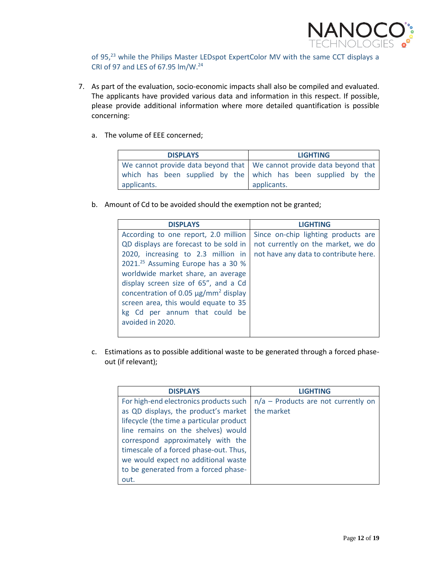

of 95,<sup>23</sup> while the Philips Master LEDspot ExpertColor MV with the same CCT displays a CRI of 97 and LES of 67.95 lm/W.<sup>24</sup>

- 7. As part of the evaluation, socio-economic impacts shall also be compiled and evaluated. The applicants have provided various data and information in this respect. If possible, please provide additional information where more detailed quantification is possible concerning:
	- a. The volume of EEE concerned;

| <b>DISPLAYS</b>                                                               | <b>LIGHTING</b> |
|-------------------------------------------------------------------------------|-----------------|
| We cannot provide data beyond that $\vert$ We cannot provide data beyond that |                 |
| which has been supplied by the which has been supplied by the                 |                 |
| applicants.                                                                   | applicants.     |

b. Amount of Cd to be avoided should the exemption not be granted;

| <b>DISPLAYS</b>                                       | <b>LIGHTING</b>                       |
|-------------------------------------------------------|---------------------------------------|
| According to one report, 2.0 million                  | Since on-chip lighting products are   |
| QD displays are forecast to be sold in                | not currently on the market, we do    |
| 2020, increasing to 2.3 million in                    | not have any data to contribute here. |
| 2021. <sup>25</sup> Assuming Europe has a 30 %        |                                       |
| worldwide market share, an average                    |                                       |
| display screen size of 65", and a Cd                  |                                       |
| concentration of 0.05 $\mu$ g/mm <sup>2</sup> display |                                       |
| screen area, this would equate to 35                  |                                       |
| kg Cd per annum that could be                         |                                       |
| avoided in 2020.                                      |                                       |
|                                                       |                                       |

c. Estimations as to possible additional waste to be generated through a forced phaseout (if relevant);

| <b>DISPLAYS</b>                          | <b>LIGHTING</b>                       |
|------------------------------------------|---------------------------------------|
| For high-end electronics products such   | $n/a$ – Products are not currently on |
| as QD displays, the product's market     | the market                            |
| lifecycle (the time a particular product |                                       |
| line remains on the shelves) would       |                                       |
| correspond approximately with the        |                                       |
| timescale of a forced phase-out. Thus,   |                                       |
| we would expect no additional waste      |                                       |
| to be generated from a forced phase-     |                                       |
| out.                                     |                                       |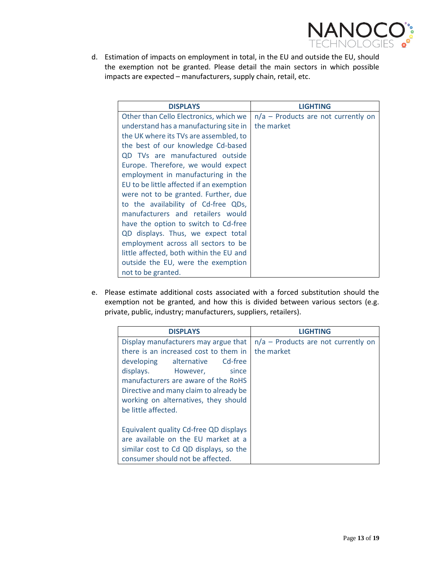

d. Estimation of impacts on employment in total, in the EU and outside the EU, should the exemption not be granted. Please detail the main sectors in which possible impacts are expected – manufacturers, supply chain, retail, etc.

| <b>DISPLAYS</b>                          | <b>LIGHTING</b>                       |
|------------------------------------------|---------------------------------------|
| Other than Cello Electronics, which we   | $n/a$ – Products are not currently on |
| understand has a manufacturing site in   | the market                            |
| the UK where its TVs are assembled, to   |                                       |
| the best of our knowledge Cd-based       |                                       |
| QD TVs are manufactured outside          |                                       |
| Europe. Therefore, we would expect       |                                       |
| employment in manufacturing in the       |                                       |
| EU to be little affected if an exemption |                                       |
| were not to be granted. Further, due     |                                       |
| to the availability of Cd-free QDs,      |                                       |
| manufacturers and retailers would        |                                       |
| have the option to switch to Cd-free     |                                       |
| QD displays. Thus, we expect total       |                                       |
| employment across all sectors to be      |                                       |
| little affected, both within the EU and  |                                       |
| outside the EU, were the exemption       |                                       |
| not to be granted.                       |                                       |

e. Please estimate additional costs associated with a forced substitution should the exemption not be granted, and how this is divided between various sectors (e.g. private, public, industry; manufacturers, suppliers, retailers).

| <b>DISPLAYS</b>                        | <b>LIGHTING</b>                       |
|----------------------------------------|---------------------------------------|
| Display manufacturers may argue that   | $n/a$ – Products are not currently on |
| there is an increased cost to them in  | the market                            |
| developing alternative Cd-free         |                                       |
| displays. However, since               |                                       |
| manufacturers are aware of the RoHS    |                                       |
| Directive and many claim to already be |                                       |
| working on alternatives, they should   |                                       |
| be little affected.                    |                                       |
|                                        |                                       |
| Equivalent quality Cd-free QD displays |                                       |
| are available on the EU market at a    |                                       |
| similar cost to Cd QD displays, so the |                                       |
| consumer should not be affected.       |                                       |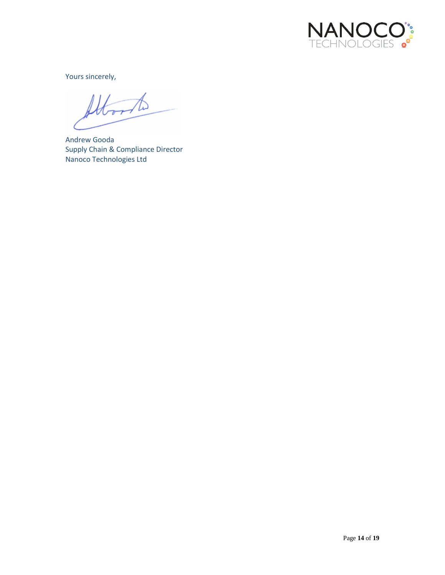

Yours sincerely,

Д

Andrew Gooda Supply Chain & Compliance Director Nanoco Technologies Ltd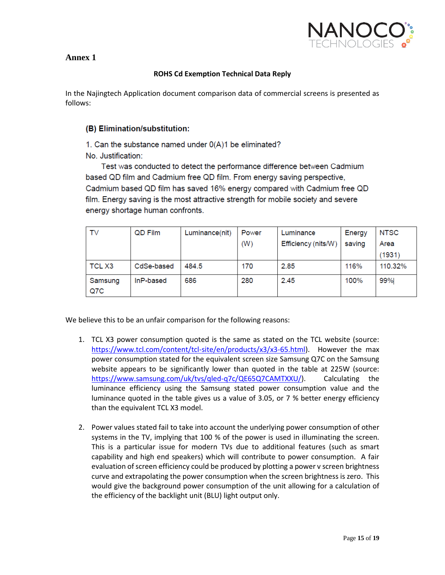

## **Annex 1**

#### **ROHS Cd Exemption Technical Data Reply**

In the Najingtech Application document comparison data of commercial screens is presented as follows:

### (B) Elimination/substitution:

1. Can the substance named under  $O(A)1$  be eliminated? No. Justification:

Test was conducted to detect the performance difference between Cadmium based QD film and Cadmium free QD film. From energy saving perspective, Cadmium based QD film has saved 16% energy compared with Cadmium free QD film. Energy saving is the most attractive strength for mobile society and severe energy shortage human confronts.

| TV                | QD Film    | Luminance(nit) | Power | Luminance           | Energy | <b>NTSC</b> |
|-------------------|------------|----------------|-------|---------------------|--------|-------------|
|                   |            |                | (W)   | Efficiency (nits/W) | saving | Area        |
|                   |            |                |       |                     |        | (1931)      |
| TCL <sub>X3</sub> | CdSe-based | 484.5          | 170   | 2.85                | 116%   | 110.32%     |
| Samsung           | InP-based  | 686            | 280   | 2.45                | 100%   | 99%         |
| Q7C               |            |                |       |                     |        |             |

We believe this to be an unfair comparison for the following reasons:

- 1. TCL X3 power consumption quoted is the same as stated on the TCL website (source: [https://www.tcl.com/content/tcl-site/en/products/x3/x3-65.html\)](https://www.tcl.com/content/tcl-site/en/products/x3/x3-65.html). However the max power consumption stated for the equivalent screen size Samsung Q7C on the Samsung website appears to be significantly lower than quoted in the table at 225W (source: [https://www.samsung.com/uk/tvs/qled-q7c/QE65Q7CAMTXXU/\)](https://www.samsung.com/uk/tvs/qled-q7c/QE65Q7CAMTXXU/). Calculating the luminance efficiency using the Samsung stated power consumption value and the luminance quoted in the table gives us a value of 3.05, or 7 % better energy efficiency than the equivalent TCL X3 model.
- 2. Power values stated fail to take into account the underlying power consumption of other systems in the TV, implying that 100 % of the power is used in illuminating the screen. This is a particular issue for modern TVs due to additional features (such as smart capability and high end speakers) which will contribute to power consumption. A fair evaluation of screen efficiency could be produced by plotting a power v screen brightness curve and extrapolating the power consumption when the screen brightness is zero. This would give the background power consumption of the unit allowing for a calculation of the efficiency of the backlight unit (BLU) light output only.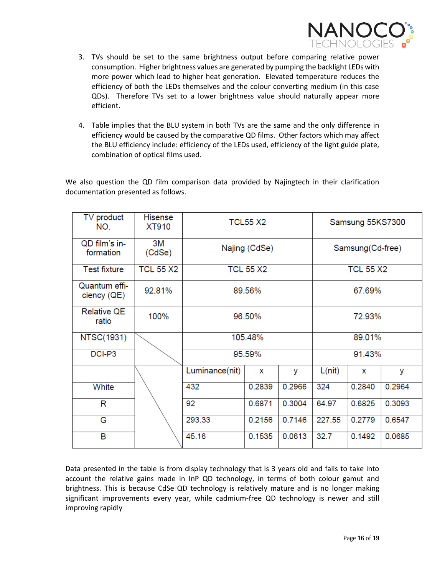

- 3. TVs should be set to the same brightness output before comparing relative power consumption. Higher brightness values are generated by pumping the backlight LEDs with more power which lead to higher heat generation. Elevated temperature reduces the efficiency of both the LEDs themselves and the colour converting medium (in this case QDs). Therefore TVs set to a lower brightness value should naturally appear more efficient.
- 4. Table implies that the BLU system in both TVs are the same and the only difference in efficiency would be caused by the comparative QD films. Other factors which may affect the BLU efficiency include: efficiency of the LEDs used, efficiency of the light guide plate, combination of optical films used.

We also question the QD film comparison data provided by Najingtech in their clarification documentation presented as follows.

| TV product<br>NO.           | <b>Hisense</b><br>XT910 | <b>TCL55 X2</b>            |                  |        | Samsung 55KS7300 |        |        |
|-----------------------------|-------------------------|----------------------------|------------------|--------|------------------|--------|--------|
| QD film's in-<br>formation  | 3M<br>(CdSe)            | Najing (CdSe)              | Samsung(Cd-free) |        |                  |        |        |
| <b>Test fixture</b>         | <b>TCL 55 X2</b>        |                            | <b>TCL 55 X2</b> |        | <b>TCL 55 X2</b> |        |        |
| Quantum effi-<br>ciency(QE) | 92.81%                  | 89.56%                     | 67.69%           |        |                  |        |        |
| <b>Relative QE</b><br>ratio | 100%                    | 96.50%                     |                  |        | 72.93%           |        |        |
| <b>NTSC(1931)</b>           |                         | 105.48%                    |                  |        | 89.01%           |        |        |
| DCI-P3                      |                         | 95.59%                     |                  |        |                  | 91.43% |        |
|                             |                         | Luminance(nit)             | X                | У      | L(nit)           | x      | У      |
| White                       |                         | 432                        | 0.2839<br>0.2966 |        |                  | 0.2840 | 0.2964 |
| R                           |                         | 92<br>0.3004<br>0.6871     |                  |        | 64.97            | 0.6825 | 0.3093 |
| G                           |                         | 293.33<br>0.7146<br>0.2156 |                  |        | 227.55           | 0.2779 | 0.6547 |
| B                           |                         | 45.16                      | 0.1535           | 0.0613 | 32.7             | 0.1492 | 0.0685 |

Data presented in the table is from display technology that is 3 years old and fails to take into account the relative gains made in InP QD technology, in terms of both colour gamut and brightness. This is because CdSe QD technology is relatively mature and is no longer making significant improvements every year, while cadmium-free QD technology is newer and still improving rapidly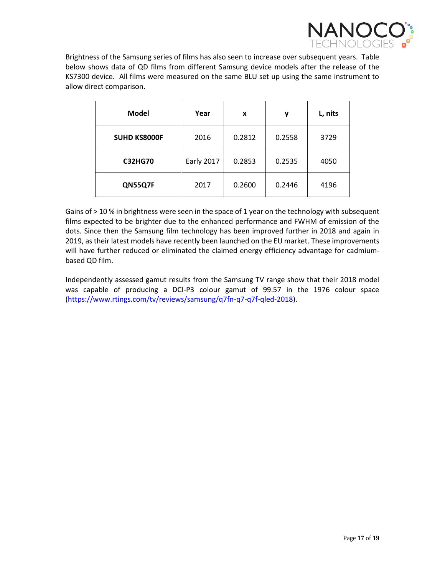

Brightness of the Samsung series of films has also seen to increase over subsequent years. Table below shows data of QD films from different Samsung device models after the release of the KS7300 device. All films were measured on the same BLU set up using the same instrument to allow direct comparison.

| <b>Model</b>        | Year              | x      | у      | L, nits |
|---------------------|-------------------|--------|--------|---------|
| <b>SUHD KS8000F</b> | 2016              | 0.2812 | 0.2558 | 3729    |
| <b>C32HG70</b>      | <b>Early 2017</b> | 0.2853 | 0.2535 | 4050    |
| QN55Q7F             | 2017              | 0.2600 | 0.2446 | 4196    |

Gains of > 10 % in brightness were seen in the space of 1 year on the technology with subsequent films expected to be brighter due to the enhanced performance and FWHM of emission of the dots. Since then the Samsung film technology has been improved further in 2018 and again in 2019, as their latest models have recently been launched on the EU market. These improvements will have further reduced or eliminated the claimed energy efficiency advantage for cadmiumbased QD film.

Independently assessed gamut results from the Samsung TV range show that their 2018 model was capable of producing a DCI-P3 colour gamut of 99.57 in the 1976 colour space [\(https://www.rtings.com/tv/reviews/samsung/q7fn-q7-q7f-qled-2018\)](https://www.rtings.com/tv/reviews/samsung/q7fn-q7-q7f-qled-2018).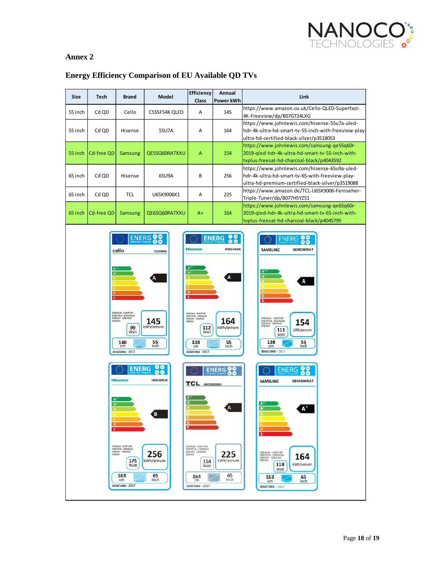

## **Annex 2**

| Size    | <b>Tech</b> | <b>Brand</b>                                                                                                                                                                                                                                                        | Model                                                                                                                                          | Efficiency<br><b>Class</b>                                                                                                                                                                                                                                                                          | Annual<br>Power kWh                                                                                               | Link                                                                                                                                                                                                                                                                                                                                                                                                             |
|---------|-------------|---------------------------------------------------------------------------------------------------------------------------------------------------------------------------------------------------------------------------------------------------------------------|------------------------------------------------------------------------------------------------------------------------------------------------|-----------------------------------------------------------------------------------------------------------------------------------------------------------------------------------------------------------------------------------------------------------------------------------------------------|-------------------------------------------------------------------------------------------------------------------|------------------------------------------------------------------------------------------------------------------------------------------------------------------------------------------------------------------------------------------------------------------------------------------------------------------------------------------------------------------------------------------------------------------|
| 55 inch | Cd QD       | Cello                                                                                                                                                                                                                                                               | C55SFS4K QLED                                                                                                                                  | Α                                                                                                                                                                                                                                                                                                   | 145                                                                                                               | https://www.amazon.co.uk/Cello-QLED-Superfast-<br>4K-Freeview/dp/B07GT24LXG                                                                                                                                                                                                                                                                                                                                      |
| 55 inch | Cd QD       | Hisense                                                                                                                                                                                                                                                             | 55U7A                                                                                                                                          | Α                                                                                                                                                                                                                                                                                                   | 164                                                                                                               | https://www.johnlewis.com/hisense-55u7a-uled-<br>hdr-4k-ultra-hd-smart-tv-55-inch-with-freeview-play-<br>ultra-hd-certified-black-silver/p3518053                                                                                                                                                                                                                                                                |
| 55 inch | Cd-free QD  | <b>Samsung</b>                                                                                                                                                                                                                                                      | QE55Q60RATXXU                                                                                                                                  | A                                                                                                                                                                                                                                                                                                   | 154                                                                                                               | https://www.johnlewis.com/samsung-qe55q60r-<br>2019-qled-hdr-4k-ultra-hd-smart-tv-55-inch-with-<br>tvplus-freesat-hd-charcoal-black/p4043592                                                                                                                                                                                                                                                                     |
| 65 inch | Cd QD       | Hisense                                                                                                                                                                                                                                                             | 65U9A                                                                                                                                          | В                                                                                                                                                                                                                                                                                                   | 256                                                                                                               | https://www.johnlewis.com/hisense-65u9a-uled-<br>hdr-4k-ultra-hd-smart-tv-65-with-freeview-play-<br>ultra-hd-premium-certified-black-silver/p3519088                                                                                                                                                                                                                                                             |
| 65 inch | Cd QD       | <b>TCL</b>                                                                                                                                                                                                                                                          | U65X9006X1                                                                                                                                     | Α                                                                                                                                                                                                                                                                                                   | 225                                                                                                               | https://www.amazon.de/TCL-U65X9006-Fernseher-<br>Triple-Tuner/dp/B077H5YZ51                                                                                                                                                                                                                                                                                                                                      |
| 65 inch | Cd-free QD  | Samsung                                                                                                                                                                                                                                                             | QE65Q60RATXXU                                                                                                                                  | A+                                                                                                                                                                                                                                                                                                  | 164                                                                                                               | https://www.johnlewis.com/samsung-qe65q60r-<br>2019-qled-hdr-4k-ultra-hd-smart-tv-65-inch-with-<br>tvplus-freesat-hd-charcoal-black/p4045795                                                                                                                                                                                                                                                                     |
|         |             | cello<br><b>ENERGIA - EHEPTHR</b><br>ENEPTEIA - ENERGIJA<br>ENERGI<br>99<br>Watt<br>140<br>cm<br>2010/1062 - 2017<br><b>ENERG</b><br><b>Hisense</b><br>ENERGIA - EHEPTIAR<br>ENEPTEIA - ENERGUA<br>ENERGY - ENERGIE<br>175<br>Watt<br>163<br>cm<br>2010/1062 - 2017 | ENERG <sup>00</sup><br><b>CSSSFS4K</b><br>145<br>kWh/annum<br>$55$ <sub>inch</sub><br><b>H65U9AUK</b><br>ίB,<br>256<br>kWh/annum<br>65<br>inch | <b>Hisense</b><br>D<br>τ<br>ENERGIA - ENEPTHA<br>ENEPTEIA - ENERGIJA<br>ENERGY - ENERGIE<br>112<br>Watt<br>138<br>cm<br>2010/1062 - 2017<br>TCL U65X9006X1<br>$\mathbf{A}^n$<br>١A<br>ENERGIA - EHEPTIKH<br>ENEPTEIA - ENERGEIA<br>ENERGY - ENERGIE<br>154<br>Watt<br>164<br>cm<br>2010/1062 - 2017 | <b>ENERG</b><br><b>HSSU7AUK</b><br>164<br>kWh/annum<br>$\frac{55}{10}$<br>ENERG<br>225<br>kWh/annum<br>65<br>inch | <b>ENERG</b><br><b>SAMSUNG</b><br>QE55Q60RAT<br>A <sup>+</sup><br>A<br>ENERGIA - EHEPTVAR<br>154<br>ENEPTEIA - ENERGUA<br>ENERGY - ENERGIE<br>ENERGI<br>kWh/annum<br>111<br>Watt<br>138<br>55<br>inch<br>cm<br>2010/1062 - 2017<br><b>SAMSUNG</b><br>QE65Q60RAT<br>ENERGIA - EHEPI'VAR<br>ENEPTEIA - ENERGIIA<br>164<br><b>ENERGI</b><br>118<br>kWh/annum<br>Watt<br>65<br>163<br>inch<br>cm<br>2010/1062 - 2017 |
|         |             |                                                                                                                                                                                                                                                                     |                                                                                                                                                |                                                                                                                                                                                                                                                                                                     |                                                                                                                   |                                                                                                                                                                                                                                                                                                                                                                                                                  |

## **Energy Efficiency Comparison of EU Available QD TVs**